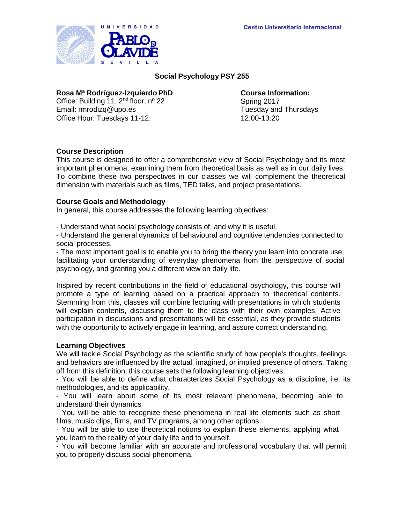

# **Social Psychology PSY 255**

# **Rosa Mª Rodríguez-Izquierdo PhD Course Information:**

Office: Building 11, 2<sup>nd</sup> floor, nº 22 Spring 2017<br>
Email: rmrodizg@upo.es Spring 2017<br>
Spring 2017 Email: [rmrodizq@upo.es](mailto:rmrodizq@upo.es) Office Hour: Tuesdays 11-12. 12:00-13:20

# **Course Description**

This course is designed to offer a comprehensive view of Social Psychology and its most important phenomena, examining them from theoretical basis as well as in our daily lives. To combine these two perspectives in our classes we will complement the theoretical dimension with materials such as films, TED talks, and project presentations.

## **Course Goals and Methodology**

In general, this course addresses the following learning objectives:

- Understand what social psychology consists of, and why it is useful.

- Understand the general dynamics of behavioural and cognitive tendencies connected to social processes.

- The most important goal is to enable you to bring the theory you learn into concrete use, facilitating your understanding of everyday phenomena from the perspective of social psychology, and granting you a different view on daily life.

Inspired by recent contributions in the field of educational psychology, this course will promote a type of learning based on a practical approach to theoretical contents. Stemming from this, classes will combine lecturing with presentations in which students will explain contents, discussing them to the class with their own examples. Active participation in discussions and presentations will be essential, as they provide students with the opportunity to actively engage in learning, and assure correct understanding.

## **Learning Objectives**

We will tackle Social Psychology as the scientific study of how people's thoughts, feelings, and behaviors are influenced by the actual, imagined, or implied presence of others. Taking off from this definition, this course sets the following learning objectives:

- You will be able to define what characterizes Social Psychology as a discipline, i.e. its methodologies, and its applicability.

- You will learn about some of its most relevant phenomena, becoming able to understand their dynamics

- You will be able to recognize these phenomena in real life elements such as short films, music clips, films, and TV programs, among other options.

- You will be able to use theoretical notions to explain these elements, applying what you learn to the reality of your daily life and to yourself.

- You will become familiar with an accurate and professional vocabulary that will permit you to properly discuss social phenomena.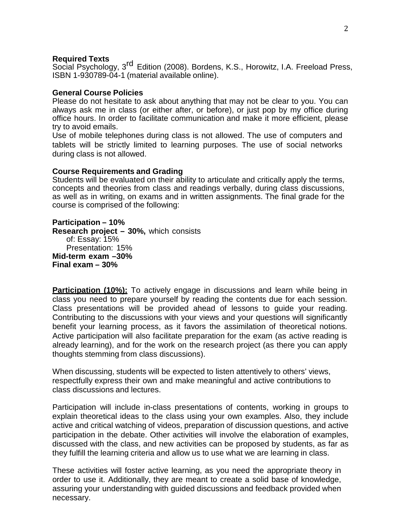#### **Required Texts**

Social Psychology, 3rd Edition (2008). Bordens, K.S., Horowitz, I.A. Freeload Press, ISBN 1-930789-04-1 (material available online).

#### **General Course Policies**

Please do not hesitate to ask about anything that may not be clear to you. You can always ask me in class (or either after, or before), or just pop by my office during office hours. In order to facilitate communication and make it more efficient, please try to avoid emails.

Use of mobile telephones during class is not allowed. The use of computers and tablets will be strictly limited to learning purposes. The use of social networks during class is not allowed.

#### **Course Requirements and Grading**

Students will be evaluated on their ability to articulate and critically apply the terms, concepts and theories from class and readings verbally, during class discussions, as well as in writing, on exams and in written assignments. The final grade for the course is comprised of the following:

**Participation – 10% Research project – 30%,** which consists of: Essay: 15% Presentation: 15% **Mid-term exam –30% Final exam – 30%**

**Participation (10%):** To actively engage in discussions and learn while being in class you need to prepare yourself by reading the contents due for each session. Class presentations will be provided ahead of lessons to guide your reading. Contributing to the discussions with your views and your questions will significantly benefit your learning process, as it favors the assimilation of theoretical notions. Active participation will also facilitate preparation for the exam (as active reading is already learning), and for the work on the research project (as there you can apply thoughts stemming from class discussions).

When discussing, students will be expected to listen attentively to others' views, respectfully express their own and make meaningful and active contributions to class discussions and lectures.

Participation will include in-class presentations of contents, working in groups to explain theoretical ideas to the class using your own examples. Also, they include active and critical watching of videos, preparation of discussion questions, and active participation in the debate. Other activities will involve the elaboration of examples, discussed with the class, and new activities can be proposed by students, as far as they fulfill the learning criteria and allow us to use what we are learning in class.

These activities will foster active learning, as you need the appropriate theory in order to use it. Additionally, they are meant to create a solid base of knowledge, assuring your understanding with guided discussions and feedback provided when necessary.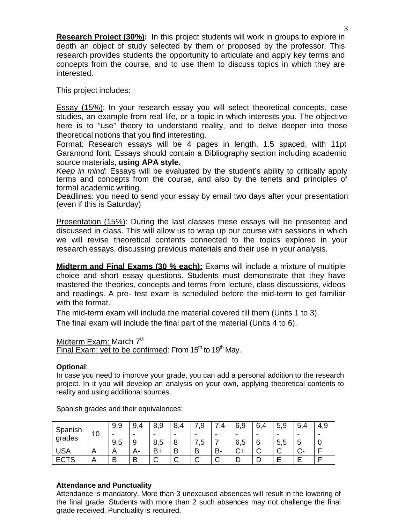**Research Project (30%):** In this project students will work in groups to explore in depth an object of study selected by them or proposed by the professor. This research provides students the opportunity to articulate and apply key terms and concepts from the course, and to use them to discuss topics in which they are interested.

This project includes:

Essay (15%): In your research essay you will select theoretical concepts, case studies, an example from real life, or a topic in which interests you. The objective here is to "use" theory to understand reality, and to delve deeper into those theoretical notions that you find interesting.

Format: Research essays will be 4 pages in length, 1.5 spaced, with 11pt Garamond font. Essays should contain a Bibliography section including academic source materials, **using APA style.**

*Keep in mind*: Essays will be evaluated by the student's ability to critically apply terms and concepts from the course, and also by the tenets and principles of formal academic writing.

Deadlines: you need to send your essay by email two days after your presentation (even if this is Saturday)

Presentation (15%): During the last classes these essays will be presented and discussed in class. This will allow us to wrap up our course with sessions in which we will revise theoretical contents connected to the topics explored in your research essays, discussing previous materials and their use in your analysis.

**Midterm and Final Exams (30 % each):** Exams will include a mixture of multiple choice and short essay questions. Students must demonstrate that they have mastered the theories, concepts and terms from lecture, class discussions, videos and readings. A pre- test exam is scheduled before the mid-term to get familiar with the format.

The mid-term exam will include the material covered till them (Units 1 to 3). The final exam will include the final part of the material (Units 4 to 6).

# Midterm Exam: March  $7<sup>th</sup>$

Final Exam: yet to be confirmed: From  $15<sup>th</sup>$  to  $19<sup>th</sup>$  May.

## **Optional**:

In case you need to improve your grade, you can add a personal addition to the research project. In it you will develop an analysis on your own, applying theoretical contents to reality and using additional sources.

| Spanish<br>grades | 10 | 9,9 | 9<br>Δ | 9,<br>8.                 | 8      |           |        | 6,9                      | 6      | 5<br>$\circ$<br>- ت | 4<br>5. | 4,9  |
|-------------------|----|-----|--------|--------------------------|--------|-----------|--------|--------------------------|--------|---------------------|---------|------|
|                   |    | -   | $\,$   | $\overline{\phantom{0}}$ | ٠      | -         | -      | $\overline{\phantom{0}}$ | -      | -                   | -       | $\,$ |
|                   |    | 9,5 | 9      | 8,5                      | 8      | ∽<br>ں, ו |        | 6,5                      | 6      | 5,5                 | ∽<br>J  | ◡    |
| USA               | A  | n   | A-     | B+                       | B      | B         | B-     | ◡᠇                       | ⌒<br>ັ | ⌒<br>ັ              |         |      |
| <b>ECTS</b>       | A  | B   | B      | . J                      | ⌒<br>ັ | ⌒<br>◡    | ⌒<br>ັ | −                        |        |                     |         | -    |

Spanish grades and their equivalences:

## **Attendance and Punctuality**

Attendance is mandatory. More than 3 unexcused absences will result in the lowering of the final grade. Students with more than 2 such absences may not challenge the final grade received. Punctuality is required.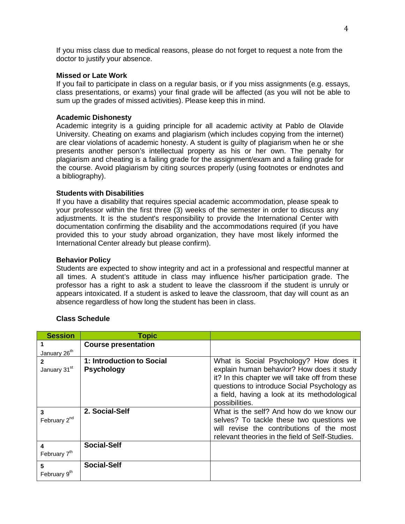If you miss class due to medical reasons, please do not forget to request a note from the doctor to justify your absence.

#### **Missed or Late Work**

If you fail to participate in class on a regular basis, or if you miss assignments (e.g. essays, class presentations, or exams) your final grade will be affected (as you will not be able to sum up the grades of missed activities). Please keep this in mind.

## **Academic Dishonesty**

Academic integrity is a guiding principle for all academic activity at Pablo de Olavide University. Cheating on exams and plagiarism (which includes copying from the internet) are clear violations of academic honesty. A student is guilty of plagiarism when he or she presents another person's intellectual property as his or her own. The penalty for plagiarism and cheating is a failing grade for the assignment/exam and a failing grade for the course. Avoid plagiarism by citing sources properly (using footnotes or endnotes and a bibliography).

#### **Students with Disabilities**

If you have a disability that requires special academic accommodation, please speak to your professor within the first three (3) weeks of the semester in order to discuss any adjustments. It is the student's responsibility to provide the International Center with documentation confirming the disability and the accommodations required (if you have provided this to your study abroad organization, they have most likely informed the International Center already but please confirm).

#### **Behavior Policy**

Students are expected to show integrity and act in a professional and respectful manner at all times. A student's attitude in class may influence his/her participation grade. The professor has a right to ask a student to leave the classroom if the student is unruly or appears intoxicated. If a student is asked to leave the classroom, that day will count as an absence regardless of how long the student has been in class.

| <b>Session</b>                | <b>Topic</b>                                   |                                                                                                                                                                                                                                                         |
|-------------------------------|------------------------------------------------|---------------------------------------------------------------------------------------------------------------------------------------------------------------------------------------------------------------------------------------------------------|
|                               | <b>Course presentation</b>                     |                                                                                                                                                                                                                                                         |
| January 26 <sup>th</sup>      |                                                |                                                                                                                                                                                                                                                         |
| 2<br>January 31st             | 1: Introduction to Social<br><b>Psychology</b> | What is Social Psychology? How does it<br>explain human behavior? How does it study<br>it? In this chapter we will take off from these<br>questions to introduce Social Psychology as<br>a field, having a look at its methodological<br>possibilities. |
| 3<br>February 2 <sup>nd</sup> | 2. Social-Self                                 | What is the self? And how do we know our<br>selves? To tackle these two questions we<br>will revise the contributions of the most<br>relevant theories in the field of Self-Studies.                                                                    |
| 4<br>February 7 <sup>th</sup> | <b>Social-Self</b>                             |                                                                                                                                                                                                                                                         |
| 5<br>February 9 <sup>th</sup> | <b>Social-Self</b>                             |                                                                                                                                                                                                                                                         |

## **Class Schedule**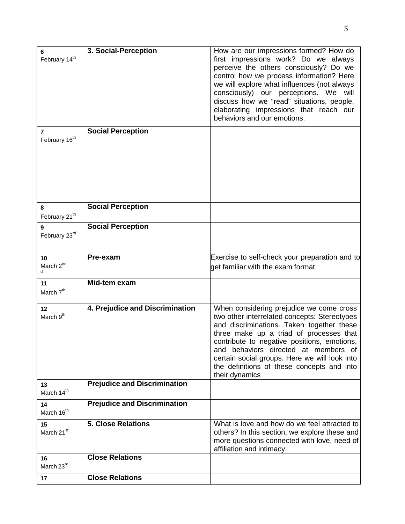| 6<br>February 14 <sup>th</sup> | 3. Social-Perception                | How are our impressions formed? How do<br>first impressions work? Do we always<br>perceive the others consciously? Do we<br>control how we process information? Here<br>we will explore what influences (not always<br>consciously) our perceptions. We will<br>discuss how we "read" situations, people,<br>elaborating impressions that reach our<br>behaviors and our emotions.       |
|--------------------------------|-------------------------------------|------------------------------------------------------------------------------------------------------------------------------------------------------------------------------------------------------------------------------------------------------------------------------------------------------------------------------------------------------------------------------------------|
| 7<br>February 16 <sup>th</sup> | <b>Social Perception</b>            |                                                                                                                                                                                                                                                                                                                                                                                          |
| 8<br>February 21 <sup>th</sup> | <b>Social Perception</b>            |                                                                                                                                                                                                                                                                                                                                                                                          |
| 9<br>February 23rd             | <b>Social Perception</b>            |                                                                                                                                                                                                                                                                                                                                                                                          |
| 10<br>March 2 <sup>nd</sup>    | Pre-exam                            | Exercise to self-check your preparation and to<br>get familiar with the exam format                                                                                                                                                                                                                                                                                                      |
| 11<br>March 7 <sup>th</sup>    | Mid-tem exam                        |                                                                                                                                                                                                                                                                                                                                                                                          |
| 12<br>March 9 <sup>th</sup>    | 4. Prejudice and Discrimination     | When considering prejudice we come cross<br>two other interrelated concepts: Stereotypes<br>and discriminations. Taken together these<br>three make up a triad of processes that<br>contribute to negative positions, emotions,<br>and behaviors directed at members of<br>certain social groups. Here we will look into<br>the definitions of these concepts and into<br>their dynamics |
| 13<br>March 14th               | <b>Prejudice and Discrimination</b> |                                                                                                                                                                                                                                                                                                                                                                                          |
| 14<br>March 16 <sup>th</sup>   | <b>Prejudice and Discrimination</b> |                                                                                                                                                                                                                                                                                                                                                                                          |
| 15<br>March 21 <sup>st</sup>   | <b>5. Close Relations</b>           | What is love and how do we feel attracted to<br>others? In this section, we explore these and<br>more questions connected with love, need of<br>affiliation and intimacy.                                                                                                                                                                                                                |
| 16<br>March 23rd               | <b>Close Relations</b>              |                                                                                                                                                                                                                                                                                                                                                                                          |
| 17                             | <b>Close Relations</b>              |                                                                                                                                                                                                                                                                                                                                                                                          |